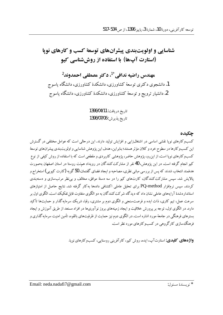توسعه كارآفريني، دورة 10، شمارة 3، ياييز 1396، از ص 534-517

## شناسایی و اولویتبندی پیشرانهای توسعهٔ کسب و کارهای نویا (استارت آپها) با استفاده از روش شناسی کیو

مهندس راضيه ندافي \*<sup>1</sup>، دكتر مصطفى احمدوند<sup>2</sup> 1. دانشجوی دکتری توسعهٔ کشاورزی، دانشکدهٔ کشاورزی، دانشگاه یاسوج 2. دانشیار ترویج و توسعهٔ کشاورزی، دانشکدهٔ کشاورزی، دانشگاه پاسوج

> تاريخ دريافت: 1396/04/11 تاريخ يذيرش: 1396/07/06

> > حكىدە

کسبوکارهای نویا نقشی اساسی در اشتغال(ابی و افزایش تولید دارند. این درحالی است که عوامل مختلفی در گسترش این کسبوکارها در سطوح خرد و کلان مؤثر هستند؛ بنابراین، هدف این پژوهش شناسایی و اولویتبندی پیشرانهای توسعهٔ کسبوکارهای نوپا است.از این٫و، پژوهش حاضر، پژوهشی کاربردی و مقطعی است که با استفاده از روش کیفی از نوع کیو انجام گرفته است. در این یژوهش، 40 نفر از مشارکت کنندگان در رویداد هم نت روستا در استان اصفهان بهصورت هدفمند انتخاب شدند که پس از بررسي مباني نظري، مصاحبه و ايجاد فضاي گفتمان، 50 گويه (کارت کيويي) استخراج و .<br>پالایش شد. سپس مشارکت کنندگان، کارتهای کیو را در سه دستهٔ موافق، مخالف و بی نظر مرتبٍسازی و دستهبندی کردند. سپس نرمافزار PQ-method برای تحلیل عاملی اکتشافی دادهها بهکار گرفته شد. نتایج حاصل از امتیازهای استانداردشدهٔ آرایههای عاملی نشان داد که دیدگاه شرکت کنندگان به دو الگوی متفاوت قابل تفکیک است. الگوی اول بر سرعت عمل، تیم کاری، ذات ایده و فرصت سنجی و الگوی دوم بر مشتری، رقبا، شریک سرمایه گذار و حمایتها تأکید .<br>دارد. در الگوی اول، توجه بر پرورش خلاقیت و ایجاد زمینههای بروز نوآوریها در افراد مستعد از طریق آموزش و ایجاد بسترهای فرهنگی در جامعهٔ مورد اشاره است. در الگوی دوم نیز حمایت از ظرفیتهای بالقوه، تأمین امنیت سرمایه گذاری و فرهنگ سازی کارگروهی در کسبوکارهای مورد نظر است.

**واژههای کلیدی**: استارت آب، ایده، روش کیو، کار آفرینی روستایی، کسبوکارهای نویا.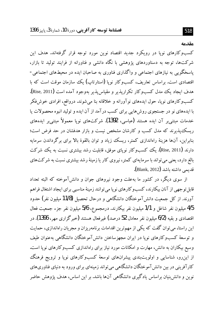## مقدمه

کسبوکارهای نویا در رویکرد جدید اقتصاد نوین مورد توجه قرار گرفتهاند. هدف این شرکتها، توجه به دستاوردهای یژوهشی با نگاه دانشی و فناورانه از فرایند تولید تا بازار، یاسخگویی به نیازهای اجتماعی و واگذاری فناوری به صاحبان ایده در محیطهای اجتماعی-اقتصادی است. براساس تعاریف، کسبوکار نویا (استارتاپ) یک سازمان موقت است که با هدف ايجاد يك مدل كسبوكار تكراريذير و مقياس يذير بهوجود آمده است (Rise, 2011). کسبوکارهای نوپا، حول ایدههای نوآورانه و خلاقانه بنا میشوند. درواقع، افرادی خوش(فکر با ایدههای نو در جستجوی روش هایی برای کسب درآمد از آن ایده و تولید انبوه محصولات یا خدمات مبتنی بر آن ایده هستند (عباسی، 1392). شرکتهای نویا معمولاً مبتنی بر ایدههای ریسک پذیرند که مدل کسب و کارشان مشخص نیست و بازار هدفشان در حد فرض است؛ بنابراین، آنها هزینهٔ راهاندازی کمتر، ریسک زیاد و توان بالقوهٔ بالا برای برگرداندن سرمایه دارند (Rise, 2011). یک کسبوکار نویای موفق، قابلیت رشد بیشتری نسبت به یک شرکت بالغ دارد، یعنی می تواند با سرمایهای کمتر، نیروی کار یا زمینهٔ رشد بیشتری نسبت به شرکتهای قديمي داشته باشد (Blank, 2012).

از سوی دیگر، در کشور ما بهعلت وجود نیروهای جوان و دانش آموخته که البته تعداد قابل تو جهی از آنان بیکارند، کسب و کارهای نو یا می توانند زمینهٔ مناسبی برای ایجاد اشتغال فراهم آورند. از کل جمعیت دانش آموختگان دانشگاهی و درحال تحصیل (11/8 میلیون نفر) حدود 4/5 ميليون نفر شاغل و 1/1 ميليون نفر بيكارند. درمجموع، 5/6 ميليون نفر جزء جمعيت فعال اقتصادي و بقيه (6/2 ميليون نفر معادل 52 درصد) غيرفعال هستند (خبر گزاري مهر، 1396). در این راستا، می توان گفت که یکی از مهم ترین اقدامات برنامهریزان و مجریان راهاندازی، حمایت و توسعهٔ کسبوکارهای نوپا در ایران مجهزساختن دانشآموختگان دانشگاهی بهعنوان طیف وسیع بیکاران به دانش، مهارت و امکانات مورد نیاز برای راهاندازی کسبوکارهای نویا است. از این٫رو، شناسایی و اولویتبندی پیشرانهای توسعهٔ کسبوکارهای نوپا و ترویج فرهنگ کارآفرینی در بین دانش آموختگان دانشگاهی می تواند زمینهای برای ورود به دنیای فناوریهای نوین و دانش بنیان براساس یادگیری دانشگاهی آنها باشد. بر این اساس، هدف پژوهش حاضر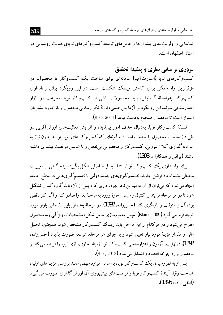شناسایی و اولویتبندی پیشرانهای توسعهٔ کسب و کارهای نویا…

شناسایی و اولویتبندی پیشرانها و عاملهای توسعهٔ کسبوکارهای نوپای همنت روستایی در استان اصفهان است.

مروري بر مباني نظري و پيشينهٔ تحقيق

کسبوکارهای نوپا (استارتآپ) سامانهای برای ساخت یک کسبوکار یا محصول، در مؤثرترین راه ممکن برای کاهش ریسک شکست است. در این رویکرد برای راهاندازی کسب وکار بهواسطهٔ آزمایش، باید محصولات ناشی از کسب وکار نویا بهسرعت در بازار اعتبارسنجی شوند.این رویکرد بر آزمایش علمی، ارائهٔ تکرارشدنی محصول و بازخورد مشتریان استوار است تا محصول صحيح بهدست بيايد (Rise, 2011).

فلسفهٔ کسبوکار نوپا، بهدنبال حذف امور بیفایده و افزایش فعالیتهای ارزشآفرین در طی فاز ساخت محصول یا خدمت است؛ به گونهای که کسبوکارهای نویا بتوانند بدون نیاز به سرمایه گذاری کلان بیرونی، کسبوکار و محصولی بی نقص و با شانس موفقیت بیشتری داشته باشند (براقی و همکاران، 1393).

برای راهاندازی یک کسبوکار نوپا، ابتدا باید ایدهٔ اصلی شکل یگیرد. ایده گاهی از تغییرات محیطی مانند ایجاد قوانین جدید، تصمیم گیریهای جدید دولتی یا تصمیم گیریهایی در سطح جامعه ایجاد میشود که میتوان از آن به بهترین نحو بهرهبرداری کرد پس از آن، باید گروه کنترل تشکیل شود تا در هر مرحله فرایند را کنترل و سپس اجازهٔ ورود به مرحلهٔ بعد را صادر کند و اگر کار ناقص بو د، آن را متوقف و بازنگری کند (حسنزاده، 1392). در مرحلهٔ بعد، ارزیابی مقدماتی بازار مورد توجه قرار مي گيرد (Blank, 2009). سيس مفهومسازي شامل شكل، مشخصات، ويژگي و … محصول مطرح می شود و در هرکدام از این مراحل باید ریسک کسبوکار مشخص شود. همچنین، تحلیل مالی و مقدار هزینهٔ مورد نیاز تعیین شود و با اجرای هر مرحله، توسعه صورت پذیرد (حسنزاده، 1392). درنهایت، آزمون و اعتبارسنجی کسبوکار نوپا زمینهٔ تجاریسازی انبوه را فراهم می کند و محصول وارد چرخهٔ اقتصاد و اشتغال می شود (Rise, 2013).

يس از به ثمر رسيدن يک کسبوکار نويا، براساس موارد مهمي مانند بر رسي هزينههاي اوليه، شناخت رقبا، آیندهٔ کسبوکار نوپا و فرصتهای پیش روی آن ارزش گذاری صورت می گیرد (لطفي زاده، 1395).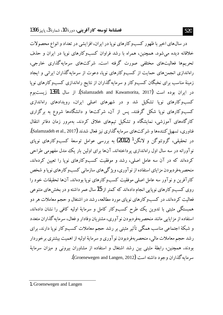در سال@های اخیر با ظهور کسبوکارهای نوپا در ایران، افزایشی در تعداد و انواع محصولات خلاقانه دیده می شود. همچنین، همراه با رشد فراوان کسبوکارهای نویا در ایران و حذف تحریبهها فعالیتهای مختلفی صورت گرفته است. شرکتهای سرمایهگذاری خارجی، راهاندازی انجمنهای حمایت از کسبوکارهای نویا، دعوت از سرمایهگذاران ایرانی و ایجاد زمینهٔ مناسب برای نخبگان کسبوکار و سرمایهگذاران از نتایج راهاندازی کسبوکارهای نوپا در ایران بوده است (Salamzadeh and Kawamorita, 2017). از سال 1391 زیستبوم کسب وکارهای نوپا تشکیل شد و در شهرهای اصلی ایران، رویدادهای راهاندازی کسب وکارهای نویا شکل گرفتند. پس از آن، شرکتها و دانشگاهها شروع به برگزاری کارگاههای آموزشی، نمایشگاه و تشکیل تیمهای خلاق کردند. بهمرور زمان دفاتر انتقال فناوري، تسهیل كنندهها و شركتهاي سرمايهگذاري نيز فعال شدند (Salamzadeh et al., 2017). در تحقیقی، گروئنوگن و لانگن<sup>1</sup> (2012) به بررسی عوامل توسعهٔ کسبوکارهای نوپای نو آورانه در سه سال اول راهاندازی پرداختهاند. آنها برای اولین بار یک مدل مفهومی طراحی کردهاند که در آن سه عامل اصلی، رشد و موفقیت کسبوکارهای نویا را تعیین کردهاند. منحصر بهفر دبو دن مزایای استفاده از نو آوری، ویژ گی های سازمانی کسب و کارهای نو یا و شخص كارآفرين و نوآور سه عامل اصلي موفقيت كسبوكارهاي نويا بودهاند. آنها تحقيقات خود را روی کسبوکارهای نوپایی انجام دادهاند که کمتر از 15 سال عمر داشته و در بخش های متنوعی فعالیت کر دهاند. در کسبوکارهای نویای مورد مطالعه، رشد در اشتغال و حجم معاملات هر دو همبستگی مثبتی با تدوین یک طرح کسبوکار کامل و سرمایهٔ اولیه کافی را نشان دادهاند. استفاده از مزایایی مانند منحصربهفردبودن نوآوری، مشتریان وفادار و فعال، سرمایه گذاران متعدد و شبکهٔ اجتماعی مناسب همگی تأثیر مثبتی بر رشد حجم معاملات کسبوکار نوپا دارند. برای رشد حجم معاملات مالي، منحصربهفردبودن نوآوري و سرمايهٔ اوليه از اهميت بيشتري برخوردار بودند. همچنین، رابطهٔ مثبتی بین رشد اشتغال و استفاده از مشاوران بیرونی و میزان سرمایهٔ سرمايه گذاران وجود داشته است (Groenewegen and Langen, 2012).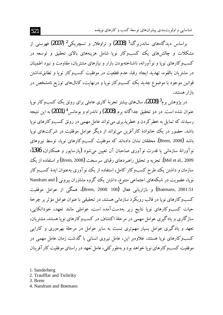براساس دیدگاههای ساندربرگ<sup>1</sup> (2008) و تراوفلار و تسچریک<sub>ی</sub>2 (2007) فهرستی از مشکلات و چالش های یک کسبوکار نویا شامل هزینههای بالای تحقیق و توسعه در کسب و کارهای نوپا و نو آورانه، ناشناختهبودن بازار و نیازهای مشتریان، مقاومت و نبود اطمینان در مشتريان بالقوه، تهديد ايجاد رقبا، عدم قطعيت در موفقيت كسبوكار نويا و تطابق لداشتن قوانین موجود با موضوع جدید یک کسبوکار نوپا و درنهایت، کانالهای توزیع نامشخص در ىازار ھستند.

در پژوهش برم<sup>3</sup> (2008)، سال\$اي بيشتر تجربهٔ كاري عاملي براي رونق يك كسبوكار نويا عنوان شده است. در دو تحقیق جداگانه برم (2008) و ناندرام و بومانس<sup>4</sup> (2001) به این نتیجه رسیدند که تمایل به خطر کردن و خطرپذیری می تواند عامل مهمی در رونق کسبوکارهای نوپا باشد. حضور در یک خانوادهٔ کارآفرین می تواند از دیگر عوامل موفقیت در شرکتهای نویا باشد (Brem, 2008). محققان نشان دادهاند که موفقیت کسبوکارهای نویا، توسط نیروهای نو آورانهٔ سازمانی یا قدرت نو آوری صاحبان آن تعیین می شود (پارسایور و همکاران، 1396؛ Mel et al., 2009). تجزیه و تحلیل راهبردهای رقبای سرسخت (Brem, 2008) و استفاده از یک سازمان و داشتن یک طرح کسبوکار کامل، استفاده از یک نوآوری بهعنوان ایدهٔ کسبوکار نوپا، عضویت در شبکههای اجتماعی متنوع، داشتن یک گروه مشاوران بیرونی (Nandram and Boemans, 2001:51) و بازاريابي فعال (Brem, 2008: 108)، همگې از عوامل موفقيت کسب وکارهای نویا در قالب رویکرد سازمانی هستند. در تحقیقی با عنوان عوامل مؤثر بر چرخهٔ حیات کسبوکارهای نویا نتایج زیر بهدستآمده است. عواملی مانند تعهد، خوداتکایی، سازگاری و یادگیری عوامل مهمی در مرحلهٔ اکتشاف در کسبوکارهای نویا هستند. مشتریان، تعهد و یادگیری عوامل بسیار مهم تری نسبت به سایر عوامل در مرحلهٔ بهرهوری و کارایی کسبوکارهای نویا هستند. علاوهبر این، عامل نیروی انسانی با گذشت زمان عامل مهمی در موفقیت کسب و کار های نو یا خواهد بو د و پهطور کلی، عامل تعهد در راستای موفقیت کار آفرینان

1. Sanderberg

2. Traufflar and Tschriky

3. Brem

4. Nandram and Boemans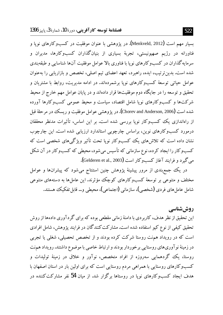بسیار مهم است (Menkveld, 2012). در یژوهشی با عنوان موفقیت در کسبوکارهای نویا و .<br>فناورانه در رژیم صهیونیستی، تجربهٔ بسیاری از بنیانگذاران کسبوکارها، مدیران و سرمایه گذاران در کسب و کارهای نوپا با فناوری بالا عوامل موفقیت آنها شناسایی و طبقهبندی شده است. بدین ترتیب، ایده، راهبرد، تعهد اعضای تیم اصلی، تخصص و بازاریابی را بهعنوان عوامل حیاتی توسعهٔ کسبوکارهای نویا برشمردهاند. در ادامه مدیریت، روابط با مشتریان و تحقیق و توسعه را در جایگاه دوم موفقیتها قرار دادهاند و در پایان عوامل مهم خارج از محیط شرکتها و کسبوکارهای نوپا شامل اقتصاد، سیاست و محیط عمومی کسب وکارها آورده شده است (Chorev and Anderson, 2006). در يژوهشي عوامل موفقيت و ريسك در مرحلهٔ قبل از راهاندازی یک کسبوکار نویا بررسی شده است. بر این اساس، تأثیرات مدنظر محققان درمورد کسبوکارهای نوین، براساس چارچوبی استاندارد ارزیابی شده است. این چارچوب نشان داده است که تلاش های یک کسبوکار نویا تحت تأثیر ویژگی های شخصی است که کسبوکار را ایجاد کرده، نوع سازمانی که تأسیس می شود، محیطی که کسبوکار در آن شکل مي گيرد و فرايند آغاز كسبوكار است (Gelderen et al., 2003).

در یک جمع بندی از مرور پیشینهٔ پژوهش چنین استنتاج میشود که پیشرانها و عوامل مختلف و متنوعی بر توسعهٔ کسبوکارهای کوچک مؤثرند. این عاملها به دستههای متنوعی شامل عامل های فر دی (شخصی)، سازمانی (اجتماعی)، محیطی و… قابل تفکیک هستند.

روش شناسے

این تحقیق از نظر هدف، کاربردی با دامنهٔ زمانی مقطعی بوده که برای گر دآوری دادهها از روش تحقیق کیفی از نوع کیو استفاده شده است. مشارکت کنندگان در فرایند پژوهش، شامل افرادی است که در رویداد همنت روستا شرکت کرده بودند و از تخصص تحصیلی، شغلی یا تجربی در زمینهٔ نوآوریهای روستایی برخوردار بودند و ارتباط خاصی با موضوع داشتند. رویداد هم نت روستا، یک گردهمایی سەروزه از افراد متخصص، نوآور و خلاق در زمینهٔ تولیدات و کسبوکارهای روستایی با همراهی مردم روستایی است که برای اولین بار در استان اصفهان با هدف ایجاد کسبوکارهای نویا در روستاها برگزار شد. از میان 54 نفر مشارکتکننده در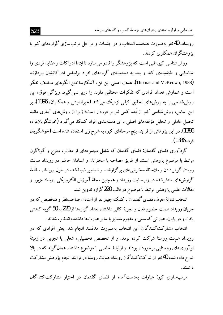شناسایی و اولویتبندی پیشرانهای توسعهٔ کسب و کارهای نویا...

رویداد، 40 نفر بهصورت هدفمند انتخاب و در جلسات و مراحل مرتبسازی گزارههای کیو با یژوهشگران همکاری کردند.

روش شناسی کیو، فنی است که یژوهشگر را قادر می سازد تا ابتدا ادراکات و عقاید فردی را شناسایی و طبقهبندی کند و بعد به دستهبندی گروههای افراد براساس ادراکاتشان بیردازند (Thomas and McKeown, 1988). هدف اصلي اين فن، آشكارساختن الكَوهاي مختلف تفكر است و شمارش تعداد افرادی که تفکرات مختلفی دارند را دربر نمی گیرد. ویژگی فوق، این روش شناسی را به روش های تحقیق کیفی نزدیک می کند (خیراندیش و همکاران، 1396). بر این اساس، روش شناسی کیو از بُعد کمی نیز برخوردار است؛ زیرا از روش های آماری مانند تحلیل عاملی و تحلیل مؤلفههای اصلی برای دستهبندی افراد کمک میگیرد (خوشگویانفرد، 1386). در این پژوهش از فرایند پنج مرحلهای کیو، به شرح زیر استفاده شده است (خوشگویان فرد، 1386).

گردآوری فضای گفتمان: فضای گفتمان که شامل مجموعهای از مطالب متنوع و گوناگون مرتبط با موضوع پژوهش است، از طریق مصاحبه با سخنرانان و استادان حاضر در رویداد همهنت روستا، گوش دادن و ملاحظهٔ سخنرانیهای برگزارشده و تصاویر ضبطشده در طول رویداد، مطالعهٔ گزارش،های منتشرشده در وبسایت رویداد و همچنین مجلهٔ آموزش الکترونیکی رویداد مزبور و مقالات علمی پژوهشی مرتبط با موضوع در قالب 220 گزاره تدوین شد.

انتخاب نمونهٔ معرف فضای گفتمان: با کمک چهار نفر از استادان صاحبنظر و متخصص که در جریان رویداد همهنت حضور فعال و تجربهٔ کافی داشتند، تعداد گزارهها از 220 به 50 گویه کاهش یافت و در پایان، عباراتی که معنی و مفهوم متمایز با سایر عبارتها داشتند، انتخاب شدند.

انتخاب مشارکت کنندگان: این انتخاب بهصورت هدفمند انجام شد. یعنی افرادی که در رویداد همنت روستا شرکت کرده بودند و از تخصص تحصیلی، شغلی یا تجربی در زمینهٔ نوآوریهای روستایی برخوردار بودند و ارتباط خاصی با موضوع داشتند. همان گونه که در بالا شرح داده شد، 40 نفر از شرکت کنندگان رویداد همنت روستا در فرایند انجام پژوهش مشارکت داشتند.

مرتبسازی کیو: عبارات بهدستآمده از فضای گفتمان در اختیار مشارکتکنندگان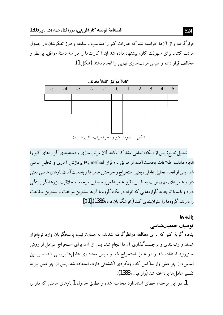قرارگرفته و از آنها خواسته شد که عبارات کیو را متناسب با سلیقه و طرز تفکرشان در جدول مرتب کنند. برای سهولت کار، پیشنهاد داده شد ابتدا کارتها را در سه دستهٔ موافق، بی نظر و مخالف قرار داده و سپس مرتبسازی نهایی را انجام دهند (شکل 1).



تحلیل نتایج: پس از اینکه، تمامی مشارکت کنندگان مرتبِسازی و دستهبندی گزارههای کیو را انجام دادند، اطلاعات بهدستآمده از طریق نرمافزار PQ method بردازش آماری و تحلیل عاملی شد. پس از انجام تحلیل عاملی، یعنی استخراج و چرخش عامل ها و بهدست آمدن بارهای عاملی معنی دار و عاملهای مهم، نوبت به تفسیر دقیق عاملها میررسد. این مرحله به خلاقیت پژوهشگر بستگی دارد و باید با توجه به گزارههایی که افراد در یک گروه با آنها بیشترین موافقت و بیشترین مخالفت را دارند، گروهها را عنوان نندي كند (خو شگو يان فرد، 1386).[10]

## بافتهها

## توصیف جمعیتشناسی

پنجاه گویهٔ کیو که برای مطالعه درنظرگرفته شدند، به همانترتیب پاسخگویان وارد نرمافزار شدند و رتبهبندی و برچسبگذاری آنها انجام شد. پس از آن، برای استخراج عوامل از روش سنتروئید استفاده شد و دو عامل استخراج شد و سپس معناداری عاملها بررسی شدند. بر این اساس، از چرخش واریماکس که رویکردی اکتشافی دارد، استفاده شد. پس از چرخش نیز به تفسير عاملها يرداخته شد (زارعيان، 1388):

1. در این مرحله، خطای استاندارد محاسبه شده و مطابق جدول 1 بارهای عاملی که دارای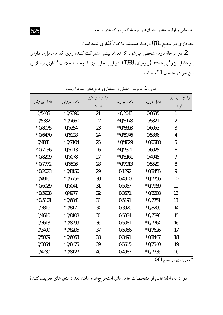شناسایی و اولویتبندی پیشرانهای توسعهٔ کسب و کارهای نویا…

معناداری در سطح 0/01 درصد هستند، علامت گذاری شده است.

2. در مرحلهٔ دوم مشخص میشود که تعداد بیشتر مشارکت کننده روی کدام عاملها دارای بار عاملی بزرگی هستند (زارعیان، 1388). در این تحلیل نیز با توجه به علامت گذاری نرم|فزار، این امر در جدول 1 آمده است.

|             | ست         |                       |             |            |                       |
|-------------|------------|-----------------------|-------------|------------|-----------------------|
| عامل بیرونی | عامل درونی | رتبەبندى كيو<br>افراد | عامل بیرونی | عامل درونی | رتبەبندى كيو<br>افراد |
| 0/5408      | $*0/7390$  | 21                    | $-0/2043$   | 0/0685     | 1                     |
| 0/5382      | $*0/7660$  | 22                    | $*0/8178$   | 0/5321     | $\overline{2}$        |
| *0/8075     | 0/5254     | 23                    | $*0/6693$   | 0/6053     | 3                     |
| $*0/6470$   | 0/6128     | 24                    | $*0/8076$   | 0/5336     | 4                     |
| 0/4881      | $*0/7104$  | 25                    | $*0/4829$   | *0/6388    | 5                     |
| $*0/7136$   | 0/6113     | 26                    | $*0/7321$   | 0/6025     | 6                     |
| *0/8209     | 0/5078     | 27                    | $*0/8161$   | 0/4945     | 7                     |
| *0/7772     | 0/5526     | 28                    | $*0/7913$   | 0/5529     | 8                     |
| $*0/2023$   | $*0/8150$  | 29                    | 0/1292      | $*0/8455$  | 9                     |
| 0/4910      | $*0/7756$  | 30                    | 0/4910      | $*0/7756$  | 10                    |
| $*0/6029$   | 0/5041     | 31                    | 0/5057      | $*0/7959$  | 11                    |
| *0/5908     | 0/4977     | 32                    | 0/3671      | $*0/8608$  | 12                    |
| $*0/5101$   | $*0/6841$  | 33                    | 0/5191      | $*0/7751$  | 13                    |
| 0/3816      | $*0/8171$  | 34                    | 0/3920      | *0/8205    | 14                    |
| 0/4610      | $*0/8103$  | 35                    | 0/5334      | $*0/7390$  | 15                    |
| 0/3613      | *0/8299    | 36                    | 0/5081      | $*0/7764$  | 16                    |
| 0/3409      | *0/8205    | 37                    | 0/5086      | $*0/7626$  | 17                    |
| 0/5079      | $*0/6063$  | 38                    | 0/3491      | $*0/8447$  | 18                    |
| 0/3854      | $*0/8475$  | 39                    | 0/5615      | $*0/7340$  | 19                    |
| 0/4230      | $*0/8127$  | 40                    | 0/4987      | $*0/7735$  | 20                    |
|             |            |                       |             |            |                       |

جدول 1. ماتریس عاملی و معناداری عامل های استخراج شده

\* معنیداری در سطح 0/01

در ادامه، اطلاعاتی از مشخصات عامل های استخراج شده مانند تعداد متغیرهای تعریف کنندهٔ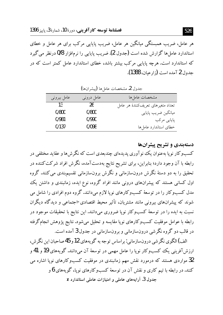هر عامل، ضریب همبستگی میانگین هر عامل، ضریب پایایی مرکب برای هر عامل و خطای استاندار د عامل ها گزارش شده است (جدول 2). ضریب پایایی را نرمافزار 0/8 درنظر می گیرد که استاندارد است. هرچه پایایی مرکب بیشتر باشد، خطای استاندارد عامل کمتر است که در جدول 2 آمده است (زار عبان، 1388).

| بعوي ہے، مستعلقات العامل کی استعمال کی دیا |             |                                    |  |
|--------------------------------------------|-------------|------------------------------------|--|
| عامل بيروني                                | عامل درونبي | مشخصات عاملها                      |  |
| 13                                         | 26          | تعداد متغیرهای تعریفکنندهٔ هر عامل |  |
| 0/800                                      | 0/800       | ميانگين ضريب پايايي                |  |
| 0/981                                      | 0/990       | پایایی مرکب                        |  |
| 0/137                                      | 0/098       | خطاى استاندارد عاملها              |  |

Claim Catalana de Curante C

دستهبندی و تشریح پیشرانها کسبوکار نویا بهعنوان یک نوآوری پدیدهای چندبعدی است که نگرش ها و عقاید مختلفی در رابطه با آن وجود دارد؛ بنابراین، برای تشریح نتایج بهدستآمده، نگرش افراد شرکت کننده در تحقیق را به دو دستهٔ نگرش درونسازمانی و نگرش برونسازمانی تقسیمپندی می کنند. گروه اول کسانی هستند که پیشرانهای درونی مانند افراد گروه، نوع ایده، زمانبندی و داشتن یک مدل کسبوکار را در توسعهٔ کسبوکارهای نویا لازم میدانند. گروه دوم افرادی را شامل می شوند که پیشرانهای بیرونی مانند مشتریان، تأثیر محیط اقتصادی-اجتماعی و دیدگاه دیگران نسبت به ایده را در توسعهٔ کسبوکار نویا ضروری میدانند. این نتایج با تحقیقات موجود در رابطه با عوامل موفقیت کسبوکارهای نوپا مقایسه و تحلیل می شود. نتایج پژوهش انجامگرفته در قالب دو گروه نگرشی درونسازمانی و برونسازمانی در جدول 3 آمده است.

الف) الگوی نگر شی درون سازمانی : بر اساس تو جه به گو پههای 12و 45 صاحبان این نگر ش، ارزش آفرینی یک کسبوکار نویا را عامل مهمی در توسعهٔ آن می،دانند. گویههای 19 و 41 و 32 مواردی هستند که درمورد نقش مهم زمانبندی در موفقیت کسبوکارهای نوپا اشاره می کنند. در رابطه با تیم کاری و نقش آن در توسعهٔ کسبوکارهای نویا، گویههای 6 و

جدول 3. آرایههای عاملی و امتیازات عاملی استاندارد Z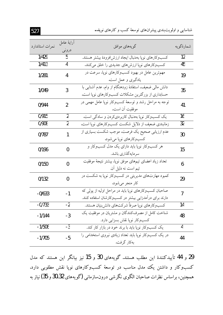| نمرات استاندارد | آراية عامل     | گويههاي موافق                                                                                                   | شمارهٔگویه      |
|-----------------|----------------|-----------------------------------------------------------------------------------------------------------------|-----------------|
|                 | درونی          |                                                                                                                 |                 |
| 1/429           | 5              | كسبوكارهاي نويا بهدنبال ايجاد ارزش افزودهٔ بيشتر هستند.                                                         | 12              |
| 1/413           | 4              | کسبوکارهای نویا ارزش های جدیدی را خلق می کنند.                                                                  | 45              |
| 1/281           | 4              | مهم ترین عامل در بهبود کسبوکارهای نوپا، سرعت در<br>یادگیری و عمل است.                                           | 19              |
| 1/049           | 3              | دانش مالی ضعیف، استفادهٔ زودهنگام از وام، عدم آشنایی با<br>حسابداری از بزرگترین مشکلات کسبوکارهای نویا است.     | 35              |
| 0/944           | $\overline{2}$ | توجه به مراحل رشد و توسعهٔ کسبوکار نویا عامل مهمی در<br>موفقيت آن است.                                          | 41              |
| 0/915           | $\overline{2}$ | یک کسبوکار نویا بهدنبال کاربر دی کردن و سادگی است.                                                              | $\overline{16}$ |
| 0/908           | $\overline{2}$ | زمانبندی ضعیف از دلایل شکست کسبوکارهای نویا است.                                                                | $\overline{32}$ |
| 0/787           | 1              | عدم ارزیابی صحیح یک فرصت، موجب شکست بسیاری از<br>كسبوكارهاي نويا مي شود.                                        | 30              |
| 0/196           | 0              | هر کسبوکار نوپا باید دارای یک مدل کسبوکار و<br>سر مايەگذارى باشد.                                               | 15              |
| 0/150           | 0              | تعداد زياد اعضاى تيمهاى موفق نوپا، بيشتر نتيجة موفقيت<br>تیم است نه دلیل آن.                                    | 6               |
| 0/132           | $\bf{0}$       | کمبود مهارتهای مدیریتی در کسبوکار نویا به شکست در<br>کار منجر میشود.                                            | 29              |
| $-0/633$        | $-1$           | صاحبان کسبوکارهای نوپا باید در مراحل اولیه از پولی که<br>دارند برای درآمدزایی بیشتر در کسبوکارشان استفاده کنند. | $\overline{1}$  |
| $-0/733$        | $-2$           | كسبوكارهاي نويا صرفاً شركتهاي دانش بنيان هستند.                                                                 | 14              |
| $-1/144$        | $-3$           | شناخت كامل از مصرفكنندگان و مشتريان در موفقيت يک<br>كسبوكار نوپا نقش بسزايي دارد.                               | 48              |
| $-1/506$        | $-3$           | یک کسبوکار نویا باید با برند خود در بازار کار کند.                                                              | 4               |
| $-1/705$        | $-5$           | در یک کسبوکار نوپا باید تعداد زیادی نیروی استخدامی را<br>بەكار گرفت.                                            | 44              |

29 و 44 تأييد كنندة اين مطلب هستند. گويههاى 30 و 15 نيز بيانگر اين هستند كه مدل کسبوکار و داشتن یک مدل مناسب در توسعهٔ کسبوکارهای نوپا نقش مطلوبی دارد. همچنین، براساس نظرات صاحبان الگوی نگرشی درونسازمانی (گویههای 30.32 و 35) نیاز به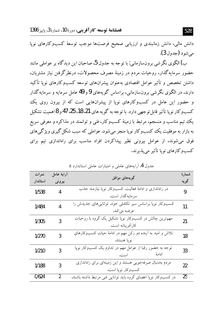دانش مالی، دانش زمانبندی و ارزیابی صحیح فرصتها موجب توسعهٔ کسبوکارهای نوپا مي شو د (جدول 3).

ب) الگوی نگرشی برونِ سازمانی: با توجه به جدول 5، صاحبان این دیدگاه بر عواملی مانند حضور سرمایهگذار، روحیات مردم در زمینهٔ مصرف محصولات، درنظرگرفتن نیاز مشتریان، داشتن تخصص و تأثیر عوامل اقتصادی بهعنوان پیشرانهای توسعه کسبوکارهای نویا تأکید دارند. در الگوی نگرشی برونسازمانی، براساس گویههای 9 و 49 عامل سرمایه و سرمایهگذار و حضور این عامل در کسبوکارهای نوپا از پیشرانهایی است که از بیرون روی یک کسب و کار نو یا تأثیر قابل تو جهی دارد. با توجه به گو یه های 21، 18، 25، 47 و 8اهمیت تشکیل یک تیم مناسب و منسجم، مرتبط با زمینهٔ کسبوکار، فنی و توانمند در مذاکره و معرفی سریع به بازار به موفقیت یک کسبوکار نو یا منجر می شود. عواملی که سبب شکل گیری ویژگی های فوق می شوند، از عوامل بیرونی نظیر پیداکردن افراد مناسب برای راهاندازی تیم برای کسبوکارهای نوپا تأثیر می پذیرند.

| نمرات    | آرايهٔ عامل | گويەھاي موافق                                                  | شمارة |
|----------|-------------|----------------------------------------------------------------|-------|
| استاندار | بيرونى      |                                                                | گويه  |
| 1/538    | 4           | در راهاندازی و ادامهٔ فعالیت، کسبوکار نوپا نیازمند جذب         | 9     |
|          |             | سر مايه گذار است.                                              |       |
| 1/484    | 4           | کسبوکار نوپا براساس سیر تکاملی خود، تواناییهای جدیدش را        | 11    |
|          |             | عرضه میکند.                                                    |       |
| 1/305    | 3           | مهم ترین چالش در کسبوکار نوپا تشکیل یک گروه با روحیات          | 21    |
|          |             | كارآفرينانه است.                                               |       |
| 1/270    | 3           | تلاش و امید به أینده دو رکن مهم در ادامهٔ حیات کسبوکارهای      | 18    |
|          |             | نويا هستند.                                                    |       |
| 1/210    | 3           | توجه به حضور رقبا از عوامل مهم در تداوم یک کسبوکار نوپا        | 33    |
|          |             | ادامهٔ<br>است.                                                 |       |
| 1/188    | 3           | مردم بهدنبال صرفهجویی هستند و این زمینهای برای راهاندازی       | 22    |
|          |             | كسبوكار نوپا است.                                              |       |
| 0/624    | 2           | در کسبوکار نوپا اعضای گروه باید توانایی فنی مرتبط داشته باشند. | 25    |

حدول 4. آرایههای عاملی و امتیازات عاملی استاندارد Z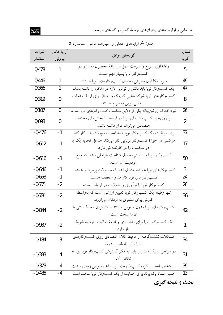شناسایی و اولویتبندی پیشرانهای توسعهٔ کسب و کارهای نوپا…

| نمرات    | آراية عامل |                                                                               | شمارة           |  |
|----------|------------|-------------------------------------------------------------------------------|-----------------|--|
| استاندار | بيرونى     | گویههای موافق                                                                 | گويه            |  |
| 0/478    | 1          | راهاندازی سریع و سرعت عمل در ارائهٔ محصول به بازار در                         | 5               |  |
|          |            | كسبوكار نوپا بسيار مهم است.                                                   |                 |  |
| 0/446    | 1          | سرمايه گذاران باهوش بهدنبال كسبوكارهاى نوپا هستند.                            | 49              |  |
| 0/366    | 1          | یک کسبوکار نوپا باید دانش و توانایی لازم در مذاکره را داشته باشد.             | 47              |  |
| 0/319    | 0          | کسبوکارهای نوپا شرکتهایی کوچک و جوان برای ارائهٔ خدمات                        | 8               |  |
|          |            | در قالبی نوین به مردم هستند.                                                  |                 |  |
| 0/107    | 0          | نبود اهداف روشن.بینانه یکی از دلایل شکست کسبوکارهای نوپا است.                 | 26              |  |
| 0/098    | 0          | نوآوریهای کسبوکارهای نویا در ارتباط با بخشهای مختلف                           | $\overline{2}$  |  |
|          |            | اقتصادی می تواند قرار داشته باشد.                                             |                 |  |
| $-0/476$ | -1         | برای موفقیت یک کسبوکار نوپا همهٔ اعضا تماموقت باید کار کنند.                  | 37              |  |
| $-0/612$ | -1         | هرکسی در حوزهٔ کسبوکار نوپایی کار میکند حداقل تجربه یک یا                     | 17              |  |
|          |            | دو شکست را در کارنامهاش دارد.                                                 |                 |  |
| $-0/616$ | -1         | کسبوکار نوپا باید دائم بهدنبال شناخت عواملی باشد که مانع                      | 50              |  |
| $-0/646$ | $-1$       | موفقيت أن است.                                                                | $\overline{3}$  |  |
| $-0/653$ | -1         | كسبوكارهاي نويا هميشه بهدنبال ايده يا محصولات پرطرفدار هستند.                 | 24              |  |
| $-0/771$ | $-2$       | کسبوکارهای نوپا کارآمد و منعطف هستند.                                         |                 |  |
|          |            | کسبوکار نوپا با نوأوری و خلاقیت در ارتباط است.                                | 20              |  |
| $-0/781$ | $-2$       | تنها وظیفهٔ یک کسبوکار نوپا تعیین ارزشی است که بهواسطهٔ                       | 36              |  |
|          |            | کارش برای مشتری به ارمغان میآورد.                                             |                 |  |
| $-0/844$ | $-2$       | کسبوکارهای نوپا مدرن و نوین هستند و کارکردن محیط سنتی با                      | 42              |  |
|          |            | آنها سخت است.                                                                 |                 |  |
| $-0/937$ | $-2$       | یک کسبوکار نوپا برای راهاندازی و ادامهٔ فعالیت خود به شریک<br>نیاز دارد.      | 1               |  |
|          |            | مشکلات نشئتگرفته از محیط کلان اقتصادی روی کسبوکارهای                          |                 |  |
| $-1/184$ | $-3$       | نوپا تأثیر نامطلوب دارد.                                                      | 34              |  |
|          |            | <mark>در مراحل آ</mark> ولیهٔ راهاندازی باید به فکر گسترش کسبوکار نوپا بود نه |                 |  |
| $-1/333$ | $-4$       | تكامل آن.                                                                     | 31              |  |
| $-1/373$ | -4         | در انتخاب اعضای گروه کسبوکارهای نوپا نباید وسواس زیادی داشت.                  | 39              |  |
| $-1/485$ | -4         | جلب اعتماد یک برند برای حمایت از یک کسبوکار نوپا سخت است.                     | $\overline{13}$ |  |
|          |            |                                                                               |                 |  |

جدول 4. آرایههای عامل<sub>ی</sub> و امتیازات عامل<sub>ی</sub> استاندارد Z

بحث و نتیجه گیری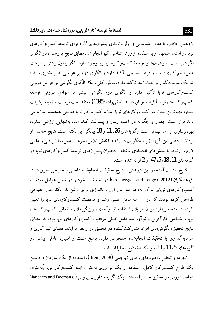پژوهش حاضر، با هدف شناسایی و اولویتبندی پیشرانهای لازم برای توسعهٔ کسبوکارهای نویا در استان اصفهان و با استفاده از روش شناسی کیو انجام شد. مطابق نتایج پژوهش، دو الگوی نگر شي نسبت به پيشرانهاي توسعهٔ كسبوكارهاي نويا وجود دارد. الگوي اول بيشتر بر سرعت عمل، تبم کاری، ایده و فرصتسنجی تأکید دارد و الگوی دوم بر عواملی نظیر مشتری، رقبا، شریک سرمایه گذار و حمایتها تأکید دارد. بهطورکلی، یک الگوی نگرشی بر عوامل درونی کسبوکارهای نویا تأکید دارد و الگوی دوم نگرشی پیشتر بر عوامل بیرونی توسعهٔ كسب وكارهاي نويا تأكيد و توافق دارند. لطفي زاده (1395) معتقد است فرصت و زمينهٔ ييشرفت بیشتر، مهم ترین بحث در کسبوکارهای نویا است. کسبوکار نویا فعالیتی هدفمند است، می داند قرار است چطور و چگونه در آینده رفتار و پیشرفت کند. ایده بهتنهایی ارزشی ندارد، بهرهبرداری از آن مهمتر است وگویههای 26، 11 و 18 بیانگر این نکته است. نتایج حاصل از بر داشت ذهني اين گروه از پاسخگو پان در رابطه با نقش تلاش، سرعت عمل، دانش فني و علمي لازم و ارتباط با بخش های اقتصادی مختلف بهعنوان پیشرانهای توسعهٔ کسبوکارهای نوپا در گويههاي 11، 18، 5، 47، و 2 ارائه شده است.

نتايج بهدستآمده در اين پژوهش با نتايج تحقيقات انجامشدهٔ داخلي و خارجي تطبيق دارد. پژوهشگران (Groenewgen and Langen, 2012**) در تحقیقات خود و در تعیی**ن عوامل موفقیت کسبوکارهای نویای نوآورانه، در سه سال اول راهاندازی برای اولین بار یک مدل مفهومی طراحی کرده بودند که در آن سه عامل اصلی رشد و موفقیت کسبوکارهای نویا را تعیین کردهاند. منحصربهفرد بودن مزایای استفاده از نوآوری، ویژگیهای سازمانی کسبوکارهای نوپا و شخص کارآفرین و نوآور سه عامل اصلی موفقیت کسبوکارهای نوپا بودهاند. مطابق نتایج تحقیق، نگرشهای افراد مشارکت کننده در تحقیق در رابطه با ایده، فضای تیم کاری و سرمایهگذاری با تحقیقات انجامشده همخوانی دارد. پاسخ مثبت و امتیاز، عاملی بیشتر در گويههاى 5، 11 و 33 تأييدكنندهٔ نتايج تحقيقات است.

تجزیه و تحلیل راهبردهای رقبای تهاجمی (Brem, 2008)، استفاده از یک سازمان و داشتن یک طرح کسب وکار کامل، استفاده از یک نوآوری بهعنوان ایدهٔ کسبوکار نویا (بهعنوان عوامل درونی در تحقیق حاضر)، داشتن یک گروه مشاوران بیرونی (Nandram and Boemans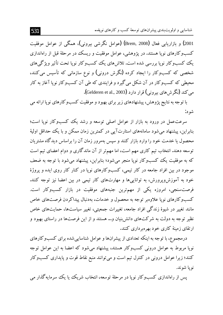شناسایی و اولویتبندی پیشرانهای توسعهٔ کسب و کارهای نویا...

2001) و بازاریابی فعال (Brem, 2008) (عوامل نگرشی بیرونی)، همگی از عوامل موفقیت کسبوکارهای نویا هستند. در یژوهشی، عوامل موفقیت و ریسک در مرحلهٔ قبل از راهاندازی یک کسبوکار نوپا بررسی شده است. تلاش های یک کسبوکار نوپا تحت تأثیر ویژگی های شخصی که کسبوکار را ایجاد کرده (نگرش درونی) و نوع سازمانی که تأسیس می کنند، محیطی که کسبوکار در آن شکل می گیرد و فرایندی که طی آن کسبوکار نویا آغاز به کار می کند (نگرشهای بیرونی) قرار دارد (Gelderen et al., 2003).

با توجه به نتایج پژوهش، پیشنهادهای زیر برای بهبود و موفقیت کسبوکارهای نوپا ارائه می شو د:

سرعتءمل در ورود به بازار از عوامل اصلی توسعه و رشد یک کسبوکار نویا است؛ بنابراین، پیشنهاد میشود سامانههای استارتآیی در کمترین زمان ممکن و با یک حداقا ً اولیهٔ محصول یا خدمت خود را وارد بازار کنند و سپس بهمرور زمان آن را براساس دیدگاه مشتر بان توسعه دهند. انتخاب تیم کاری مهم است، اما مهمتر از آن ماندگاری و دوام اعضای تیم است که به موفقیت یک کسبوکار نویا منجر می شود؛ بنابراین، پیشنهاد می شود با توجه به ضعف موجود در بین افراد جامعه در کار تیمی، کسبوکارهای نوپا در کنار کار روی ایده و پروژهٔ خود به آموزش ویرورش، به توانایی ها و مهارتهای کار تیمی در بین اعضا نیز توجه کنند. فرصتسنجی، امروزه یکی از مهمترین جنبههای موفقیت در بازار کسبوکار است. کسب وکارهای نویا علاوهبر توجه به محصول و خدمات، بهدنبال پیداکردن فرصتهای خاص مانند تغییر در شیوهٔ زندگی افراد جامعه، تغییرات جمعیتی، تغییر سیاستها، حمایتهای خاص نظیر توجه به دولت به شرکتهای دانش بنیان و… هستند و از این فرصتها در راستای بهبود و ارتقای زمینهٔ کاری خود بهرهبرداری کنند.

درمجموع، با توجه به اینکه تعدادی از پیشرانها و عوامل شناسایی شده برای کسبوکارهای نویا مربوط به عوامل درونی کسبوکار هستند، پیشنهاد می شود که اعضا به این عوامل توجه کنند؛ زیرا عوامل درونی در کنترل تیم است و می توانند منبع نقاط قوت و پایداری کسبوکار نويا شوند.

پس از راهاندازی کسبوکار نوپا در مرحلهٔ توسعه، انتخاب شریک ییا یک سرمایهگذار می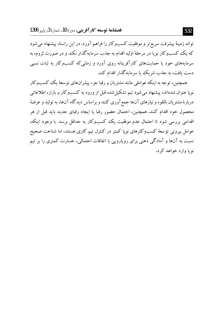تواند زمینهٔ پیشرفت سریع تر و موفقیت کسبوکار را فراهم آورد. در این راستا، پیشنهاد میشود که یک کسبوکار نویا در مرحلهٔ اولیه اقدام به جذب سرمایهگذار نکند و در صورت لزوم، به سرمایههای خود یا حمایتهای کارآفرینانه روی آورد و زمانی که کسبوکار به ثبات نسبی دست یافت، به جذب شریک یا سرمایه گذار اقدام کند.

همچنین، توجه به اینکه عواملی مانند مشتریان و رقبا جزء پیشرانهای توسعهٔ یک کسبوکار نوپا عنوان شدهاند، پیشنهاد میشود تیم تشکیل شده قبل از ورود به کسبوکار و بازار، اطلاعاتی دربارهٔ مشتریان بالقوه و نیازهای آنها جمع آوری کنند و براساس دیدگاه آنها، به تولید و عرضهٔ محصول خود اقدام كنند. همچنین، احتمال حضور رقبا یا ایجاد رقبای جدید باید قبل از هر اقدامی بررسی شود تا احتمال عدم موفقیت یک کسبوکار به حداقل برسد. با وجود اینکه، عوامل بیرونی توسعهٔ کسبوکارهای نویا کمتر در کنترل تیم کاری هستند، اما شناخت صحیح نسبت به آنها و آمادگی ذهنی برای رویارویی با اتفاقات احتمالی، خسارت کمتری را بر تیم نو یا وارد خواهد کرد.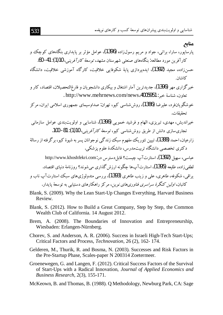مناتع

- پارساپور، سارا، برات<sub></sub>ی، جواد و مریم رسولiزاده **(1396)**، عوامل مؤثر بر پایداری بنگاههای کوچک<sup>ی</sup> و کار آفرین مورد مطالعه: پنگاههای صنعتی شهرستان مشهد، توسعهٔ کارآفرینے، 10(1): 41- 60. حسنزاده، مجید (1392)، ایده یردازی پایهٔ شکوفایی خلاقیت، کارگاه آموزشی خلاقیت، دانشگاه كاشان.
- خبرگزاری مهر (1396)، جدیدترین آمار اشتغال و بیکاری دانشجویان و فارغ|لتحصیلان، اقتصاد، کار و تعاون، شناسة خبر: http://www.mehrnews.com/news.4005951 .
- خوشگویانفرد، علیرضا (1386)، روششناسی کیو، تهران: صداوسیمای جمهوری اسلامی ایران، مرکز تحقىقات.
- خبراندیش، مهدی، تیریزی، الهام و فرشید خمویی **(1396)**، شناسایی و اولویت $\omega$ ندی عوامل سازمانی تجاری سازی دانش از طریق روش شناسی کیو، *توسعهٔ کارآفرینی*، 10(1): 81- 100.
- زارعيان، احمد (1388)، تبيين تئو ريك مفهوم سبك زندگي نوجوانان يسر به شيوهٔ كيو، برگرفته از رسالهٔ دکتری تخصصی دانشگاه تربیتمدرس، دانشکدهٔ علوم یزشکی.

عباسی، سهبل (1392)، استارت آب جیست؟ قابل دسترس در .http://www.khoshfekri.com لطفي زاده، طلبعه (1395)، استارتآپها چگونه ارزش گذاري مي شوند؟ روزنامهٔ دنباي اقتصاد. براقي، شكوفه، طاهري، علي و زينب طاهري (1393)، پر رسي متدولو ژي هاي سبك استارت آب ناب و کانیان، *اولین کنگر ۀ سراسری فناو دی های نوین*، مرکز ۱٫هکارهای دستیابی به توسعۀ پایدار .

- Blank, S. (2009). Why the Lean Start-Up Changes Everything, Harvard Business Review.
- Blank, S. (2012). How to Build a Great Company, Step by Step, the Common Wealth Club of California. 14 August 2012.
- Brem, A. (2008). The Boundaries of Innovation and Entrepreneurship, Wiesbaden: Erlangen-Nürnberg.
- Chorey, S. and Anderson, A. R. (2006). Success in Israeli High-Tech Start-Ups; Critical Factors and Process, *Technovation*, 26 (2), 162-174.
- Gelderen, M., Thurik, R. and Bosma, N. (2003). Successes and Risk Factors in the Pre-Startup Phase, Scales-paper N 200314 Zoetermeer.
- Groenewegen, G. and Langen, F. (2012). Critical Success Factors of the Survival of Start-Ups with a Radical Innovation, Journal of Applied Economics and Business Research, 2(3), 155-171.
- McKeown, B. and Thomas, B. (1988). Q Methodology, Newburg Park, CA: Sage